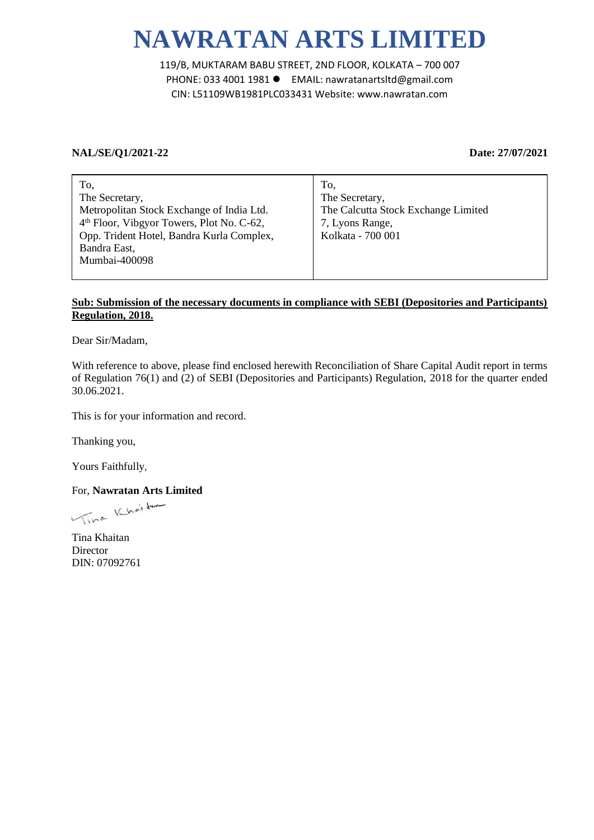## **NAWRATAN ARTS LIMITED**

119/B, MUKTARAM BABU STREET, 2ND FLOOR, KOLKATA – 700 007 PHONE: 033 4001 1981 EMAIL: nawratanartsltd@gmail.com CIN: L51109WB1981PLC033431 Website: www.nawratan.com

## **NAL/SE/Q1/2021-22 Date: 27/07/2021**

| To.                                                   | To,                                 |
|-------------------------------------------------------|-------------------------------------|
| The Secretary,                                        | The Secretary,                      |
| Metropolitan Stock Exchange of India Ltd.             | The Calcutta Stock Exchange Limited |
| 4 <sup>th</sup> Floor, Vibgyor Towers, Plot No. C-62, | 7, Lyons Range,                     |
| Opp. Trident Hotel, Bandra Kurla Complex,             | Kolkata - 700 001                   |
| Bandra East,                                          |                                     |
| Mumbai-400098                                         |                                     |
|                                                       |                                     |

## **Sub: Submission of the necessary documents in compliance with SEBI (Depositories and Participants) Regulation, 2018.**

Dear Sir/Madam,

With reference to above, please find enclosed herewith Reconciliation of Share Capital Audit report in terms of Regulation 76(1) and (2) of SEBI (Depositories and Participants) Regulation, 2018 for the quarter ended 30.06.2021.

This is for your information and record.

Thanking you,

Yours Faithfully,

For, **Nawratan Arts Limited**

Tina Khaitan Director DIN: 07092761